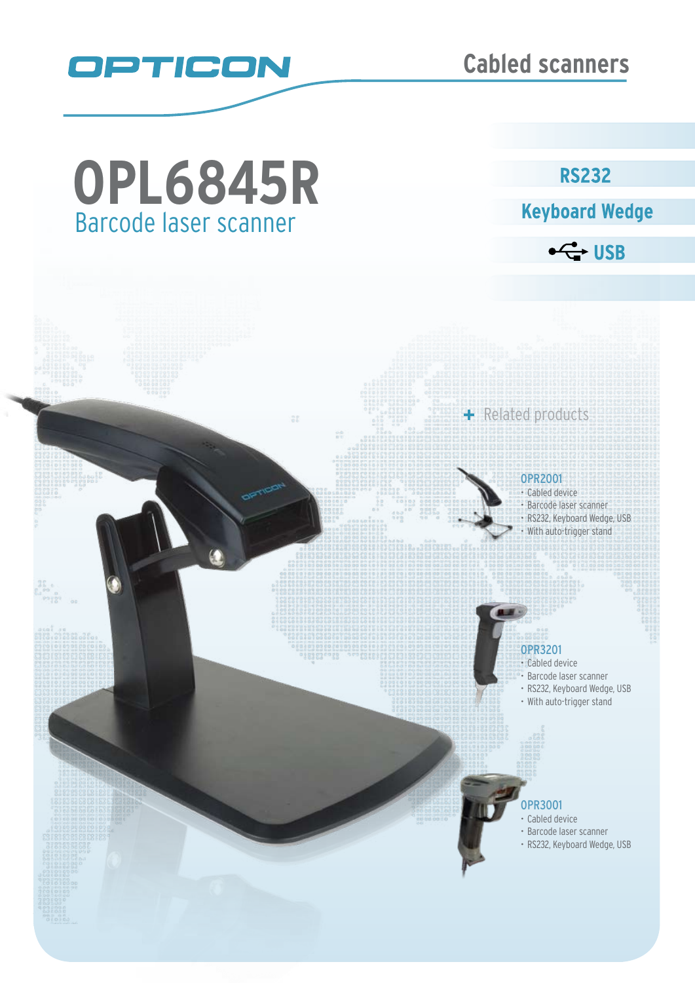

# Barcode laser scanner **OPL6845R**

**RS232** 

**Keyboard Wedge** 

 $\leftarrow$  USB

#### OPR2001

+ Related products

• Cabled device • Barcode laser scanner • RS232, Keyboard Wedge, USB • With auto-trigger stand

#### OPR3201

- • Cabled device
- Barcode laser scanner
- • RS232, Keyboard Wedge, USB
- With auto-trigger stand

### OPR3001

- • Cabled device
- • Barcode laser scanner
- • RS232, Keyboard Wedge, USB